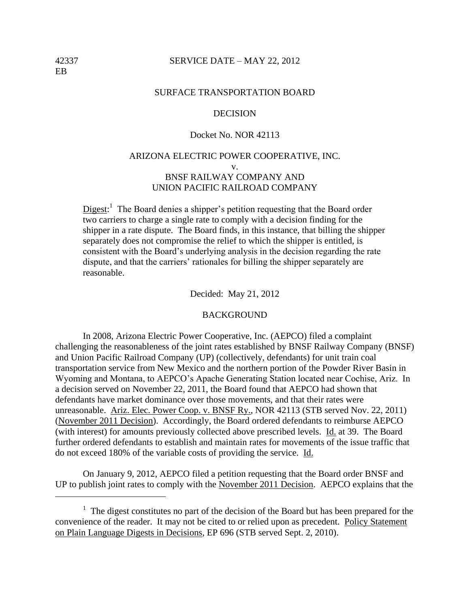#### 42337 SERVICE DATE – MAY 22, 2012

#### SURFACE TRANSPORTATION BOARD

### **DECISION**

## Docket No. NOR 42113

## ARIZONA ELECTRIC POWER COOPERATIVE, INC. v. BNSF RAILWAY COMPANY AND UNION PACIFIC RAILROAD COMPANY

 $Digest$ <sup>1</sup>. The Board denies a shipper's petition requesting that the Board order two carriers to charge a single rate to comply with a decision finding for the shipper in a rate dispute. The Board finds, in this instance, that billing the shipper separately does not compromise the relief to which the shipper is entitled, is consistent with the Board's underlying analysis in the decision regarding the rate dispute, and that the carriers' rationales for billing the shipper separately are reasonable.

Decided: May 21, 2012

#### BACKGROUND

In 2008, Arizona Electric Power Cooperative, Inc. (AEPCO) filed a complaint challenging the reasonableness of the joint rates established by BNSF Railway Company (BNSF) and Union Pacific Railroad Company (UP) (collectively, defendants) for unit train coal transportation service from New Mexico and the northern portion of the Powder River Basin in Wyoming and Montana, to AEPCO's Apache Generating Station located near Cochise, Ariz. In a decision served on November 22, 2011, the Board found that AEPCO had shown that defendants have market dominance over those movements, and that their rates were unreasonable. Ariz. Elec. Power Coop. v. BNSF Ry., NOR 42113 (STB served Nov. 22, 2011) (November 2011 Decision). Accordingly, the Board ordered defendants to reimburse AEPCO (with interest) for amounts previously collected above prescribed levels. Id. at 39. The Board further ordered defendants to establish and maintain rates for movements of the issue traffic that do not exceed 180% of the variable costs of providing the service. Id.

On January 9, 2012, AEPCO filed a petition requesting that the Board order BNSF and UP to publish joint rates to comply with the November 2011 Decision. AEPCO explains that the

 $\overline{a}$ 

 $<sup>1</sup>$  The digest constitutes no part of the decision of the Board but has been prepared for the</sup> convenience of the reader. It may not be cited to or relied upon as precedent. Policy Statement on Plain Language Digests in Decisions, EP 696 (STB served Sept. 2, 2010).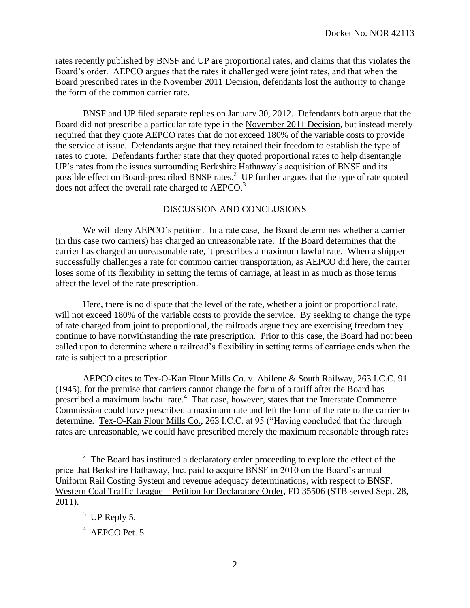rates recently published by BNSF and UP are proportional rates, and claims that this violates the Board's order. AEPCO argues that the rates it challenged were joint rates, and that when the Board prescribed rates in the November 2011 Decision, defendants lost the authority to change the form of the common carrier rate.

BNSF and UP filed separate replies on January 30, 2012. Defendants both argue that the Board did not prescribe a particular rate type in the November 2011 Decision, but instead merely required that they quote AEPCO rates that do not exceed 180% of the variable costs to provide the service at issue. Defendants argue that they retained their freedom to establish the type of rates to quote. Defendants further state that they quoted proportional rates to help disentangle UP's rates from the issues surrounding Berkshire Hathaway's acquisition of BNSF and its possible effect on Board-prescribed BNSF rates.<sup>2</sup> UP further argues that the type of rate quoted does not affect the overall rate charged to AEPCO.<sup>3</sup>

### DISCUSSION AND CONCLUSIONS

We will deny AEPCO's petition. In a rate case, the Board determines whether a carrier (in this case two carriers) has charged an unreasonable rate. If the Board determines that the carrier has charged an unreasonable rate, it prescribes a maximum lawful rate. When a shipper successfully challenges a rate for common carrier transportation, as AEPCO did here, the carrier loses some of its flexibility in setting the terms of carriage, at least in as much as those terms affect the level of the rate prescription.

Here, there is no dispute that the level of the rate, whether a joint or proportional rate, will not exceed 180% of the variable costs to provide the service. By seeking to change the type of rate charged from joint to proportional, the railroads argue they are exercising freedom they continue to have notwithstanding the rate prescription. Prior to this case, the Board had not been called upon to determine where a railroad's flexibility in setting terms of carriage ends when the rate is subject to a prescription.

AEPCO cites to Tex-O-Kan Flour Mills Co. v. Abilene & South Railway, 263 I.C.C. 91 (1945), for the premise that carriers cannot change the form of a tariff after the Board has prescribed a maximum lawful rate.<sup>4</sup> That case, however, states that the Interstate Commerce Commission could have prescribed a maximum rate and left the form of the rate to the carrier to determine. Tex-O-Kan Flour Mills Co., 263 I.C.C. at 95 ("Having concluded that the through rates are unreasonable, we could have prescribed merely the maximum reasonable through rates

 $\overline{a}$ 

 $2<sup>2</sup>$  The Board has instituted a declaratory order proceeding to explore the effect of the price that Berkshire Hathaway, Inc. paid to acquire BNSF in 2010 on the Board's annual Uniform Rail Costing System and revenue adequacy determinations, with respect to BNSF. Western Coal Traffic League—Petition for Declaratory Order, FD 35506 (STB served Sept. 28, 2011).

 $3$  UP Reply 5.

<sup>&</sup>lt;sup>4</sup> AEPCO Pet. 5.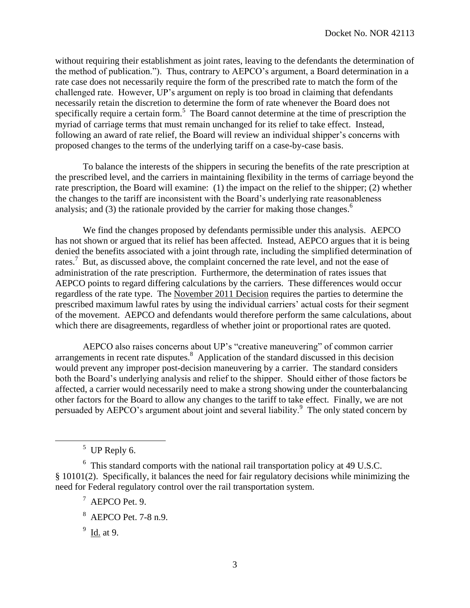without requiring their establishment as joint rates, leaving to the defendants the determination of the method of publication."). Thus, contrary to AEPCO's argument, a Board determination in a rate case does not necessarily require the form of the prescribed rate to match the form of the challenged rate. However, UP's argument on reply is too broad in claiming that defendants necessarily retain the discretion to determine the form of rate whenever the Board does not specifically require a certain form.<sup>5</sup> The Board cannot determine at the time of prescription the myriad of carriage terms that must remain unchanged for its relief to take effect. Instead, following an award of rate relief, the Board will review an individual shipper's concerns with proposed changes to the terms of the underlying tariff on a case-by-case basis.

To balance the interests of the shippers in securing the benefits of the rate prescription at the prescribed level, and the carriers in maintaining flexibility in the terms of carriage beyond the rate prescription, the Board will examine: (1) the impact on the relief to the shipper; (2) whether the changes to the tariff are inconsistent with the Board's underlying rate reasonableness analysis; and (3) the rationale provided by the carrier for making those changes.<sup>6</sup>

We find the changes proposed by defendants permissible under this analysis. AEPCO has not shown or argued that its relief has been affected. Instead, AEPCO argues that it is being denied the benefits associated with a joint through rate, including the simplified determination of rates.<sup>7</sup> But, as discussed above, the complaint concerned the rate level, and not the ease of administration of the rate prescription. Furthermore, the determination of rates issues that AEPCO points to regard differing calculations by the carriers. These differences would occur regardless of the rate type. The November 2011 Decision requires the parties to determine the prescribed maximum lawful rates by using the individual carriers' actual costs for their segment of the movement. AEPCO and defendants would therefore perform the same calculations, about which there are disagreements, regardless of whether joint or proportional rates are quoted.

AEPCO also raises concerns about UP's "creative maneuvering" of common carrier arrangements in recent rate disputes. $8$  Application of the standard discussed in this decision would prevent any improper post-decision maneuvering by a carrier. The standard considers both the Board's underlying analysis and relief to the shipper. Should either of those factors be affected, a carrier would necessarily need to make a strong showing under the counterbalancing other factors for the Board to allow any changes to the tariff to take effect. Finally, we are not persuaded by AEPCO's argument about joint and several liability.<sup>9</sup> The only stated concern by

 $\overline{a}$ 

 $5$  UP Reply 6.

<sup>&</sup>lt;sup>6</sup> This standard comports with the national rail transportation policy at 49 U.S.C. § 10101(2). Specifically, it balances the need for fair regulatory decisions while minimizing the need for Federal regulatory control over the rail transportation system.

 $^7$  AEPCO Pet. 9.

<sup>8</sup> AEPCO Pet. 7-8 n.9.

<sup>&</sup>lt;sup>9</sup> Id. at 9.